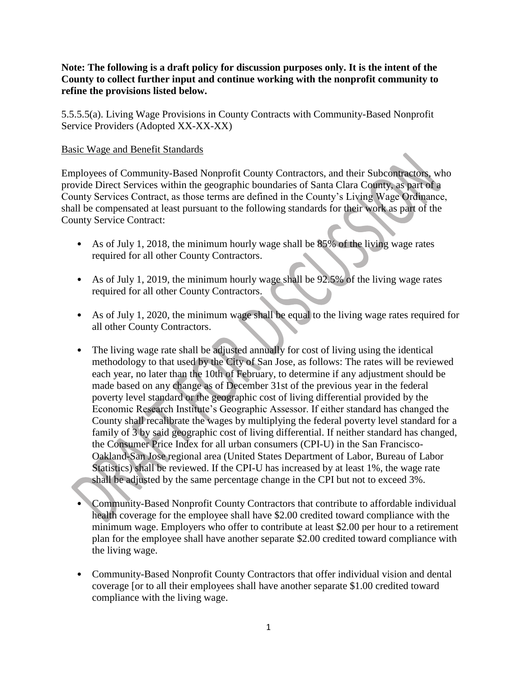## **Note: The following is a draft policy for discussion purposes only. It is the intent of the County to collect further input and continue working with the nonprofit community to refine the provisions listed below.**

5.5.5.5(a). Living Wage Provisions in County Contracts with Community-Based Nonprofit Service Providers (Adopted XX-XX-XX)

## Basic Wage and Benefit Standards

Employees of Community-Based Nonprofit County Contractors, and their Subcontractors, who provide Direct Services within the geographic boundaries of Santa Clara County, as part of a County Services Contract, as those terms are defined in the County's Living Wage Ordinance, shall be compensated at least pursuant to the following standards for their work as part of the County Service Contract:

- As of July 1, 2018, the minimum hourly wage shall be 85% of the living wage rates required for all other County Contractors.
- As of July 1, 2019, the minimum hourly wage shall be 92.5% of the living wage rates required for all other County Contractors.
- As of July 1, 2020, the minimum wage shall be equal to the living wage rates required for all other County Contractors.
- The living wage rate shall be adjusted annually for cost of living using the identical methodology to that used by the City of San Jose, as follows: The rates will be reviewed each year, no later than the 10th of February, to determine if any adjustment should be made based on any change as of December 31st of the previous year in the federal poverty level standard or the geographic cost of living differential provided by the Economic Research Institute's Geographic Assessor. If either standard has changed the County shall recalibrate the wages by multiplying the federal poverty level standard for a family of 3 by said geographic cost of living differential. If neither standard has changed, the Consumer Price Index for all urban consumers (CPI-U) in the San Francisco-Oakland-San Jose regional area (United States Department of Labor, Bureau of Labor Statistics) shall be reviewed. If the CPI-U has increased by at least 1%, the wage rate shall be adjusted by the same percentage change in the CPI but not to exceed 3%.
- Community-Based Nonprofit County Contractors that contribute to affordable individual health coverage for the employee shall have \$2.00 credited toward compliance with the minimum wage. Employers who offer to contribute at least \$2.00 per hour to a retirement plan for the employee shall have another separate \$2.00 credited toward compliance with the living wage.
- Community-Based Nonprofit County Contractors that offer individual vision and dental coverage [or to all their employees shall have another separate \$1.00 credited toward compliance with the living wage.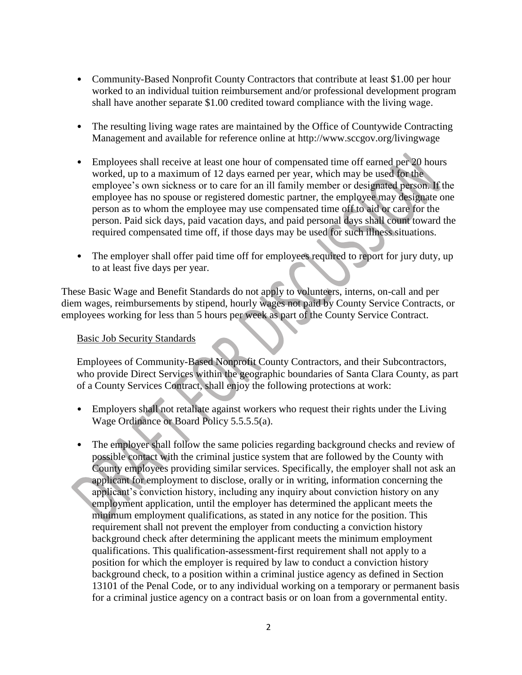- Community-Based Nonprofit County Contractors that contribute at least \$1.00 per hour worked to an individual tuition reimbursement and/or professional development program shall have another separate \$1.00 credited toward compliance with the living wage.
- The resulting living wage rates are maintained by the Office of Countywide Contracting Management and available for reference online at http://www.sccgov.org/livingwage
- Employees shall receive at least one hour of compensated time off earned per 20 hours worked, up to a maximum of 12 days earned per year, which may be used for the employee's own sickness or to care for an ill family member or designated person. If the employee has no spouse or registered domestic partner, the employee may designate one person as to whom the employee may use compensated time off to aid or care for the person. Paid sick days, paid vacation days, and paid personal days shall count toward the required compensated time off, if those days may be used for such illness situations.
- The employer shall offer paid time off for employees required to report for jury duty, up to at least five days per year.

These Basic Wage and Benefit Standards do not apply to volunteers, interns, on-call and per diem wages, reimbursements by stipend, hourly wages not paid by County Service Contracts, or employees working for less than 5 hours per week as part of the County Service Contract.

## Basic Job Security Standards

Employees of Community-Based Nonprofit County Contractors, and their Subcontractors, who provide Direct Services within the geographic boundaries of Santa Clara County, as part of a County Services Contract, shall enjoy the following protections at work:

- Employers shall not retaliate against workers who request their rights under the Living Wage Ordinance or Board Policy 5.5.5.5(a).
- The employer shall follow the same policies regarding background checks and review of possible contact with the criminal justice system that are followed by the County with County employees providing similar services. Specifically, the employer shall not ask an applicant for employment to disclose, orally or in writing, information concerning the applicant's conviction history, including any inquiry about conviction history on any employment application, until the employer has determined the applicant meets the minimum employment qualifications, as stated in any notice for the position. This requirement shall not prevent the employer from conducting a conviction history background check after determining the applicant meets the minimum employment qualifications. This qualification-assessment-first requirement shall not apply to a position for which the employer is required by law to conduct a conviction history background check, to a position within a criminal justice agency as defined in Section 13101 of the Penal Code, or to any individual working on a temporary or permanent basis for a criminal justice agency on a contract basis or on loan from a governmental entity.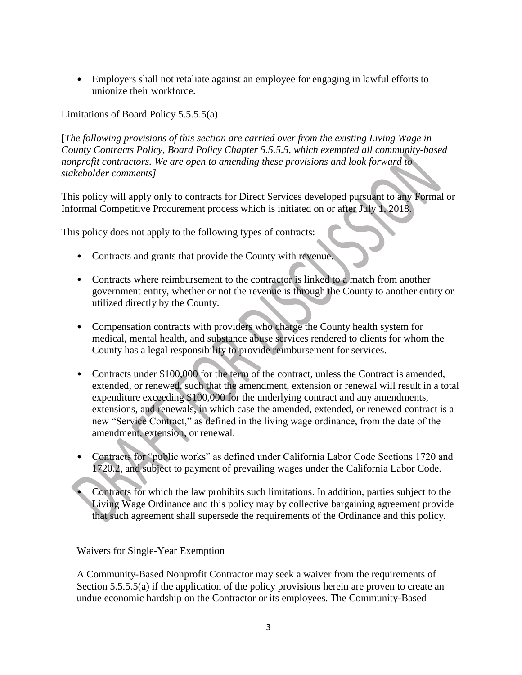• Employers shall not retaliate against an employee for engaging in lawful efforts to unionize their workforce.

## Limitations of Board Policy 5.5.5.5(a)

[*The following provisions of this section are carried over from the existing Living Wage in County Contracts Policy, Board Policy Chapter 5.5.5.5, which exempted all community-based nonprofit contractors. We are open to amending these provisions and look forward to stakeholder comments]*

This policy will apply only to contracts for Direct Services developed pursuant to any Formal or Informal Competitive Procurement process which is initiated on or after July 1, 2018.

This policy does not apply to the following types of contracts:

- Contracts and grants that provide the County with revenue.
- Contracts where reimbursement to the contractor is linked to a match from another government entity, whether or not the revenue is through the County to another entity or utilized directly by the County.
- Compensation contracts with providers who charge the County health system for medical, mental health, and substance abuse services rendered to clients for whom the County has a legal responsibility to provide reimbursement for services.
- Contracts under \$100,000 for the term of the contract, unless the Contract is amended, extended, or renewed, such that the amendment, extension or renewal will result in a total expenditure exceeding \$100,000 for the underlying contract and any amendments, extensions, and renewals, in which case the amended, extended, or renewed contract is a new "Service Contract," as defined in the living wage ordinance, from the date of the amendment, extension, or renewal.
- Contracts for "public works" as defined under California Labor Code Sections 1720 and 1720.2, and subject to payment of prevailing wages under the California Labor Code.
- Contracts for which the law prohibits such limitations. In addition, parties subject to the Living Wage Ordinance and this policy may by collective bargaining agreement provide that such agreement shall supersede the requirements of the Ordinance and this policy.

Waivers for Single-Year Exemption

A Community-Based Nonprofit Contractor may seek a waiver from the requirements of Section 5.5.5.5(a) if the application of the policy provisions herein are proven to create an undue economic hardship on the Contractor or its employees. The Community-Based